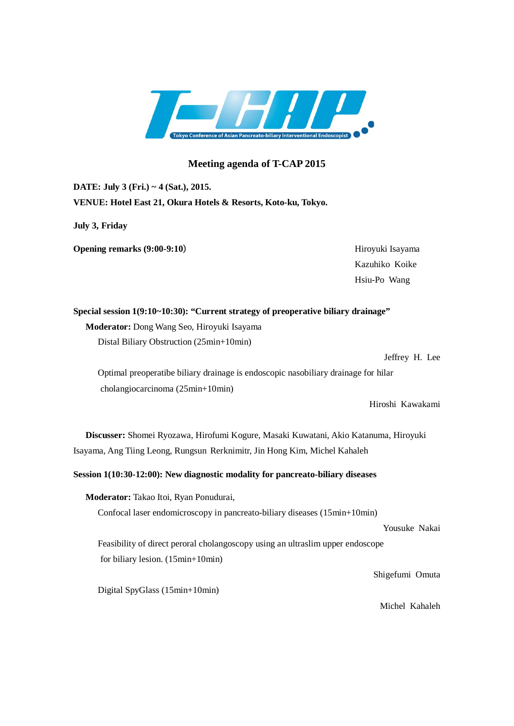

## **Meeting agenda of T-CAP 2015**

**DATE: July 3 (Fri.) ~ 4 (Sat.), 2015. VENUE: Hotel East 21, Okura Hotels & Resorts, Koto-ku, Tokyo.**

**July 3, Friday**

**Opening remarks** (9:00-9:10) Hiroyuki Isayama

Kazuhiko Koike Hsiu-Po Wang

**Special session 1(9:10~10:30): "Current strategy of preoperative biliary drainage" Moderator:** Dong Wang Seo, Hiroyuki Isayama Distal Biliary Obstruction (25min+10min)

Jeffrey H. Lee

Optimal preoperatibe biliary drainage is endoscopic nasobiliary drainage for hilar cholangiocarcinoma (25min+10min)

Hiroshi Kawakami

**Discusser:** Shomei Ryozawa, Hirofumi Kogure, Masaki Kuwatani, Akio Katanuma, Hiroyuki Isayama, Ang Tiing Leong, Rungsun Rerknimitr, Jin Hong Kim, Michel Kahaleh

**Session 1(10:30-12:00): New diagnostic modality for pancreato-biliary diseases**

**Moderator:** Takao Itoi, Ryan Ponudurai, Confocal laser endomicroscopy in pancreato-biliary diseases (15min+10min) Yousuke Nakai Feasibility of direct peroral cholangoscopy using an ultraslim upper endoscope for biliary lesion. (15min+10min) Shigefumi Omuta Digital SpyGlass (15min+10min)

Michel Kahaleh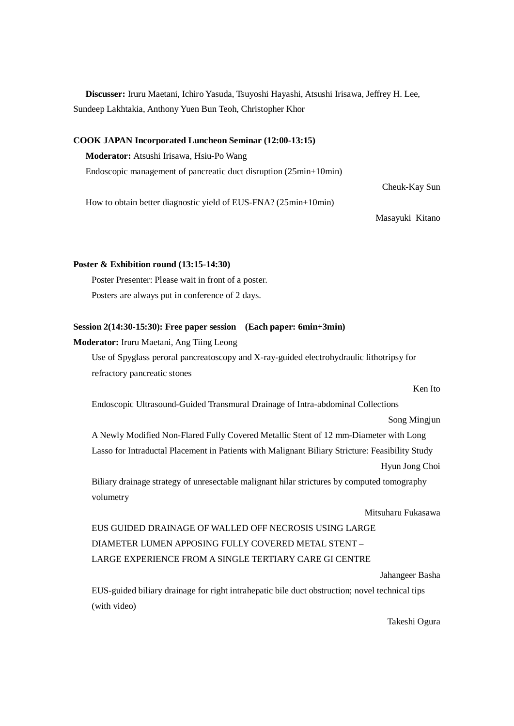**Discusser:** Iruru Maetani, Ichiro Yasuda, Tsuyoshi Hayashi, Atsushi Irisawa, Jeffrey H. Lee, Sundeep Lakhtakia, Anthony Yuen Bun Teoh, Christopher Khor

### **COOK JAPAN Incorporated Luncheon Seminar (12:00-13:15)**

**Moderator:** Atsushi Irisawa, Hsiu-Po Wang

Endoscopic management of pancreatic duct disruption (25min+10min)

How to obtain better diagnostic yield of EUS-FNA? (25min+10min)

Cheuk-Kay Sun

Masayuki Kitano

### **Poster & Exhibition round (13:15-14:30)**

 Poster Presenter: Please wait in front of a poster. Posters are always put in conference of 2 days.

### **Session 2(14:30-15:30): Free paper session (Each paper: 6min+3min)**

### **Moderator:** Iruru Maetani, Ang Tiing Leong

Use of Spyglass peroral pancreatoscopy and X-ray-guided electrohydraulic lithotripsy for refractory pancreatic stones

Ken Ito

Endoscopic Ultrasound-Guided Transmural Drainage of Intra-abdominal Collections

Song Mingjun

A Newly Modified Non-Flared Fully Covered Metallic Stent of 12 mm-Diameter with Long Lasso for Intraductal Placement in Patients with Malignant Biliary Stricture: Feasibility Study Hyun Jong Choi

Biliary drainage strategy of unresectable malignant hilar strictures by computed tomography volumetry

### Mitsuharu Fukasawa

EUS GUIDED DRAINAGE OF WALLED OFF NECROSIS USING LARGE DIAMETER LUMEN APPOSING FULLY COVERED METAL STENT – LARGE EXPERIENCE FROM A SINGLE TERTIARY CARE GI CENTRE

Jahangeer Basha

EUS-guided biliary drainage for right intrahepatic bile duct obstruction; novel technical tips (with video)

Takeshi Ogura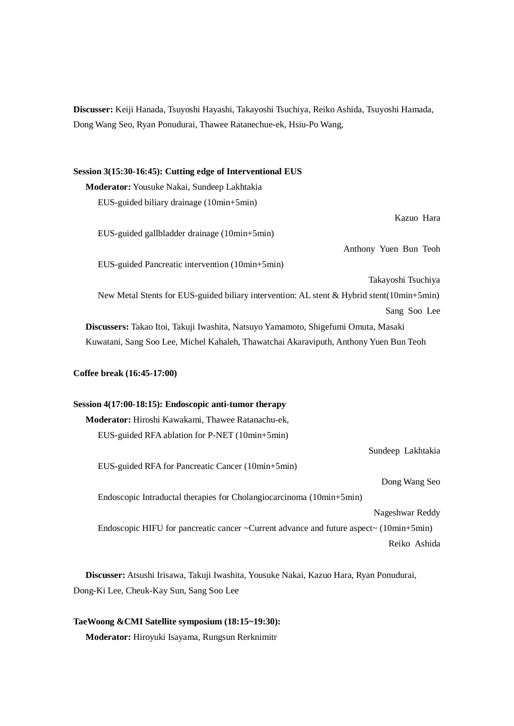**Discusser:** Keiji Hanada, Tsuyoshi Hayashi, Takayoshi Tsuchiya, Reiko Ashida, Tsuyoshi Hamada, Dong Wang Seo, Ryan Ponudurai, Thawee Ratanechue-ek, Hsiu-Po Wang,

# **Session 3(15:30-16:45): Cutting edge of Interventional EUS Moderator:** Yousuke Nakai, Sundeep Lakhtakia EUS-guided biliary drainage (10min+5min) Kazuo Hara EUS-guided gallbladder drainage (10min+5min) Anthony Yuen Bun Teoh EUS-guided Pancreatic intervention (10min+5min) Takayoshi Tsuchiya New Metal Stents for EUS-guided biliary intervention: AL stent & Hybrid stent(10min+5min) Sang Soo Lee **Discussers:** Takao Itoi, Takuji Iwashita, Natsuyo Yamamoto, Shigefumi Omuta, Masaki Kuwatani, Sang Soo Lee, Michel Kahaleh, Thawatchai Akaraviputh, Anthony Yuen Bun Teoh **Coffee break (16:45-17:00)**

## **Session 4(17:00-18:15): Endoscopic anti-tumor therapy Moderator:** Hiroshi Kawakami, Thawee Ratanachu-ek, EUS-guided RFA ablation for P-NET (10min+5min) Sundeep Lakhtakia EUS-guided RFA for Pancreatic Cancer (10min+5min) Dong Wang Seo Endoscopic Intraductal therapies for Cholangiocarcinoma (10min+5min) Nageshwar Reddy Endoscopic HIFU for pancreatic cancer ~Current advance and future aspect~ (10min+5min) Reiko Ashida

**Discusser:** Atsushi Irisawa, Takuji Iwashita, Yousuke Nakai, Kazuo Hara, Ryan Ponudurai, Dong-Ki Lee, Cheuk-Kay Sun, Sang Soo Lee

**TaeWoong &CMI Satellite symposium (18:15~19:30): Moderator:** Hiroyuki Isayama, Rungsun Rerknimitr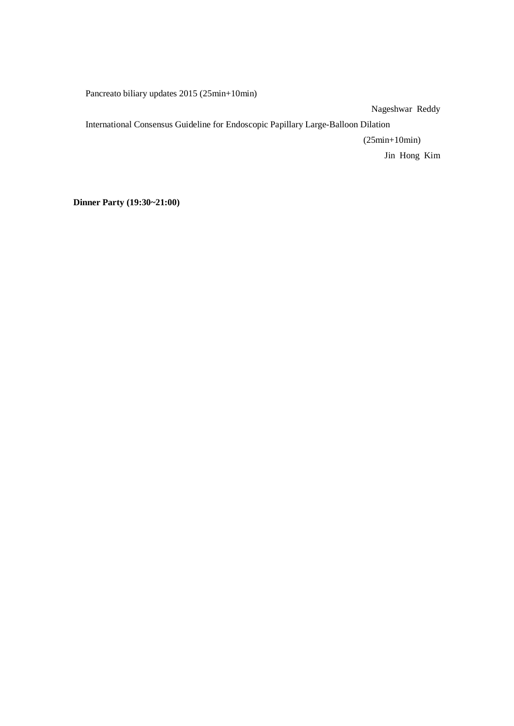Pancreato biliary updates 2015 (25min+10min)

Nageshwar Reddy

International Consensus Guideline for Endoscopic Papillary Large-Balloon Dilation

(25min+10min)

Jin Hong Kim

**Dinner Party (19:30~21:00)**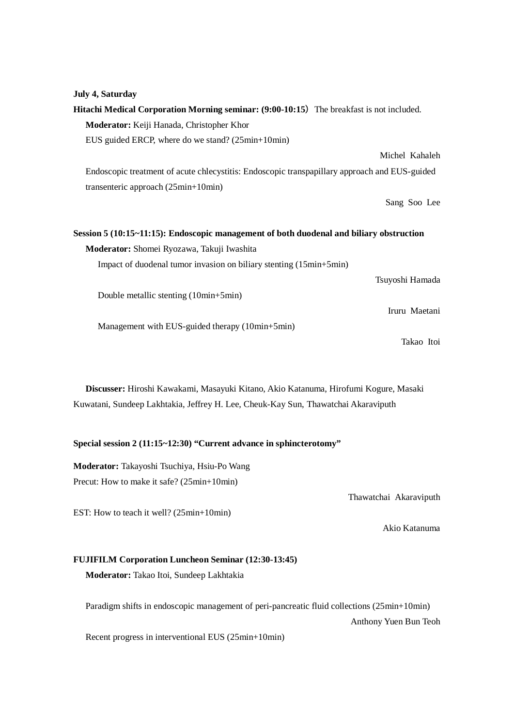| July 4, Saturday                                                                              |
|-----------------------------------------------------------------------------------------------|
| Hitachi Medical Corporation Morning seminar: (9:00-10:15) The breakfast is not included.      |
| Moderator: Keiji Hanada, Christopher Khor                                                     |
| EUS guided ERCP, where do we stand? (25min+10min)                                             |
| Michel Kahaleh                                                                                |
| Endoscopic treatment of acute chlecystitis: Endoscopic transpapillary approach and EUS-guided |
| transenteric approach (25min+10min)                                                           |
| Sang Soo Lee                                                                                  |
|                                                                                               |
| Session 5 (10:15~11:15): Endoscopic management of both duodenal and biliary obstruction       |
| Moderator: Shomei Ryozawa, Takuji Iwashita                                                    |
| Impact of duodenal tumor invasion on biliary stenting (15min+5min)                            |
| Tsuyoshi Hamada                                                                               |
| Double metallic stenting (10min+5min)                                                         |
| Iruru Maetani                                                                                 |
| Management with EUS-guided therapy (10min+5min)                                               |
| Takao Itoi                                                                                    |

**Discusser:** Hiroshi Kawakami, Masayuki Kitano, Akio Katanuma, Hirofumi Kogure, Masaki Kuwatani, Sundeep Lakhtakia, Jeffrey H. Lee, Cheuk-Kay Sun, Thawatchai Akaraviputh

### **Special session 2 (11:15~12:30) "Current advance in sphincterotomy"**

**Moderator:** Takayoshi Tsuchiya, Hsiu-Po Wang Precut: How to make it safe? (25min+10min)

EST: How to teach it well? (25min+10min)

Thawatchai Akaraviputh

Akio Katanuma

### **FUJIFILM Corporation Luncheon Seminar (12:30-13:45)**

**Moderator:** Takao Itoi, Sundeep Lakhtakia

Paradigm shifts in endoscopic management of peri-pancreatic fluid collections (25min+10min) Anthony Yuen Bun Teoh

Recent progress in interventional EUS (25min+10min)